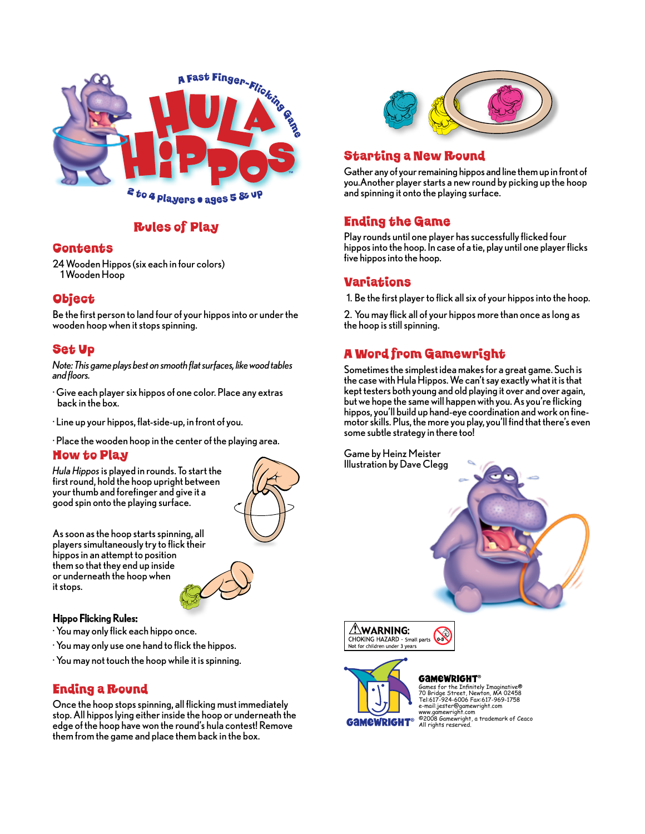

## Rules of Play

#### **Gontents**

24 Wooden Hippos (six each in four colors) 1 Wooden Hoop

## **Object**

Be the first person to land four of your hippos into or under the wooden hoop when it stops spinning.

## Set Up

*Note: This game plays best on smooth flat surfaces, like wood tables and floors.*

- · Give each player six hippos of one color. Place any extras back in the box.
- · Line up your hippos, flat-side-up, in front of you.

· Place the wooden hoop in the center of the playing area.

#### How to Play

*Hula Hippos* is played in rounds. To start the first round, hold the hoop upright between your thumb and forefinger and give it a good spin onto the playing surface.



As soon as the hoop starts spinning, all players simultaneously try to flick their hippos in an attempt to position them so that they end up inside or underneath the hoop when it stops.

#### Hippo Flicking Rules:

- · You may only flick each hippo once.
- · You may only use one hand to flick the hippos.
- · You may not touch the hoop while it is spinning.

## Ending a Round

Once the hoop stops spinning, all flicking must immediately stop. All hippos lying either inside the hoop or underneath the edge of the hoop have won the round's hula contest! Remove them from the game and place them back in the box.



# Starting a New Round

Gather any of your remaining hippos and line them up in front of you.Another player starts a new round by picking up the hoop and spinning it onto the playing surface.

# Ending the Game

Play rounds until one player has successfully flicked four hippos into the hoop. In case of a tie, play until one player flicks five hippos into the hoop.

## Variations

1. Be the first player to flick all six of your hippos into the hoop.

2. You may flick all of your hippos more than once as long as the hoop is still spinning.

# A Word from Gamewright

Sometimes the simplest idea makes for a great game. Such is the case with Hula Hippos. We can't say exactly what it is that kept testers both young and old playing it over and over again, but we hope the same will happen with you. As you're flicking hippos, you'll build up hand-eye coordination and work on finemotor skills. Plus, the more you play, you'll find that there's even some subtle strategy in there too!





Not for children under 3 years

**GAMEWRIGHT®** Games for the Infinitely Imaginative® 70 Bridge Street, Newton, MA 02458 Tel:617-924-6006 Fax:617-969-1758 e-mail:jester@gamewright.com www.gamewright.com ©2008 Gamewright, a trademark of Ceaco All rights reserved.